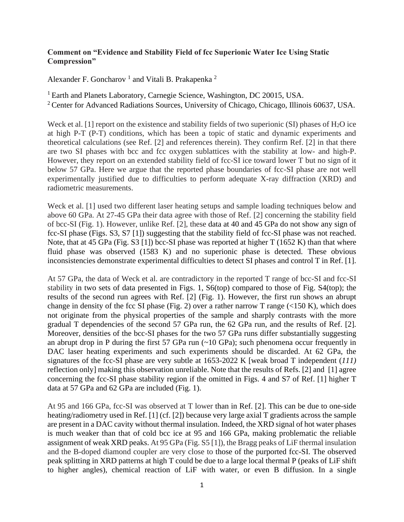## **Comment on "Evidence and Stability Field of fcc Superionic Water Ice Using Static Compression"**

Alexander F. Goncharov<sup>1</sup> and Vitali B. Prakapenka<sup>2</sup>

<sup>1</sup> Earth and Planets Laboratory, Carnegie Science, Washington, DC 20015, USA.

<sup>2</sup> Center for Advanced Radiations Sources, University of Chicago, Chicago, Illinois 60637, USA.

Weck et al. [1] report on the existence and stability fields of two superionic (SI) phases of  $H_2O$  ice at high P-T (P-T) conditions, which has been a topic of static and dynamic experiments and theoretical calculations (see Ref. [2] and references therein). They confirm Ref. [2] in that there are two SI phases with bcc and fcc oxygen sublattices with the stability at low- and high-P. However, they report on an extended stability field of fcc-SI ice toward lower T but no sign of it below 57 GPa. Here we argue that the reported phase boundaries of fcc-SI phase are not well experimentally justified due to difficulties to perform adequate X-ray diffraction (XRD) and radiometric measurements.

Weck et al. [1] used two different laser heating setups and sample loading techniques below and above 60 GPa. At 27-45 GPa their data agree with those of Ref. [2] concerning the stability field of bcc-SI (Fig. 1). However, unlike Ref. [2], these data at 40 and 45 GPa do not show any sign of fcc-SI phase (Figs. S3, S7 [1]) suggesting that the stability field of fcc-SI phase was not reached. Note, that at 45 GPa (Fig. S3 [1]) bcc-SI phase was reported at higher  $T(1652 K)$  than that where fluid phase was observed (1583 K) and no superionic phase is detected. These obvious inconsistencies demonstrate experimental difficulties to detect SI phases and control T in Ref. [1].

At 57 GPa, the data of Weck et al. are contradictory in the reported T range of bcc-SI and fcc-SI stability in two sets of data presented in Figs. 1, S6(top) compared to those of Fig. S4(top); the results of the second run agrees with Ref. [2] (Fig. 1). However, the first run shows an abrupt change in density of the fcc SI phase (Fig. 2) over a rather narrow T range ( $\lt 150$  K), which does not originate from the physical properties of the sample and sharply contrasts with the more gradual T dependencies of the second 57 GPa run, the 62 GPa run, and the results of Ref. [2]. Moreover, densities of the bcc-SI phases for the two 57 GPa runs differ substantially suggesting an abrupt drop in P during the first 57 GPa run  $(\sim 10 \text{ GPa})$ ; such phenomena occur frequently in DAC laser heating experiments and such experiments should be discarded. At 62 GPa, the signatures of the fcc-SI phase are very subtle at 1653-2022 K [weak broad T independent (*111)* reflection only] making this observation unreliable. Note that the results of Refs. [2] and [1] agree concerning the fcc-SI phase stability region if the omitted in Figs. 4 and S7 of Ref. [1] higher T data at 57 GPa and 62 GPa are included (Fig. 1).

At 95 and 166 GPa, fcc-SI was observed at T lower than in Ref. [2]. This can be due to one-side heating/radiometry used in Ref. [1] (cf. [2]) because very large axial T gradients across the sample are present in a DAC cavity without thermal insulation. Indeed, the XRD signal of hot water phases is much weaker than that of cold bcc ice at 95 and 166 GPa, making problematic the reliable assignment of weak XRD peaks. At 95 GPa (Fig. S5 [1]), the Bragg peaks of LiF thermal insulation and the B-doped diamond coupler are very close to those of the purported fcc-SI. The observed peak splitting in XRD patterns at high T could be due to a large local thermal P (peaks of LiF shift to higher angles), chemical reaction of LiF with water, or even B diffusion. In a single